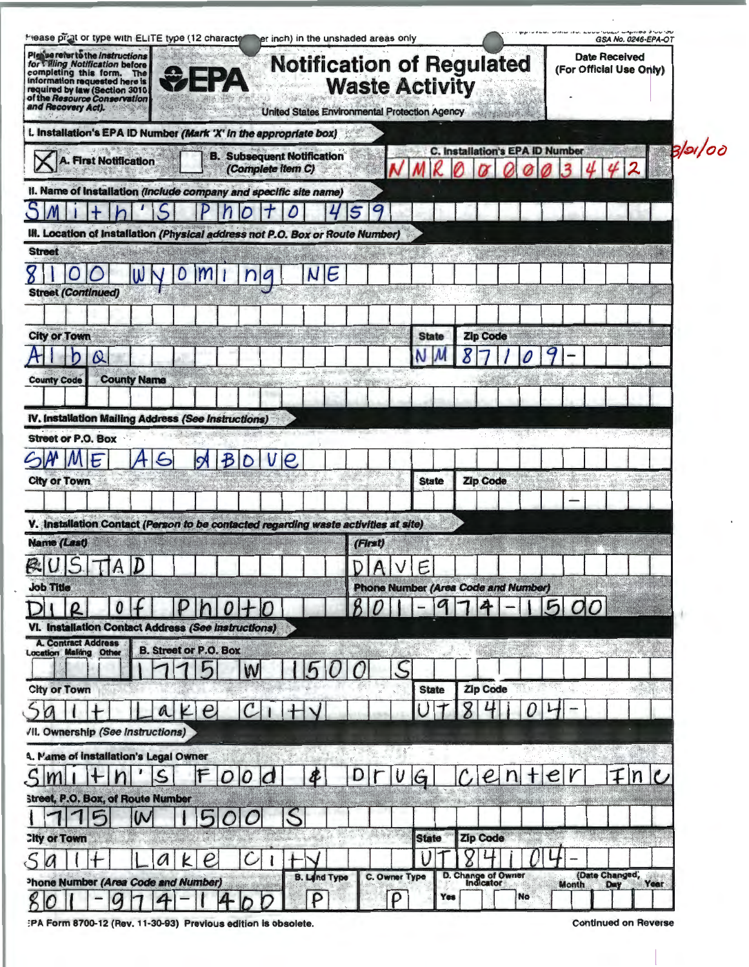| Please refer to the Instructions<br><b>Date Received</b><br><b>Notification of Regulated</b><br>for Villing Notification before<br>(For Official Use Only)<br>completing this form. The<br>ФЕРД<br>information requested here is<br><b>Waste Activity</b><br>required by law (Section 3010<br>of the Resource Conservation<br>and Recovery Act).<br>United States Environmental Protection Agency<br>L. Installation's EPA ID Number (Mark 'X' in the appropriate box)<br>C. Installation's EPA ID Number<br><b>B. Subsequent Notification</b> |                        |
|------------------------------------------------------------------------------------------------------------------------------------------------------------------------------------------------------------------------------------------------------------------------------------------------------------------------------------------------------------------------------------------------------------------------------------------------------------------------------------------------------------------------------------------------|------------------------|
|                                                                                                                                                                                                                                                                                                                                                                                                                                                                                                                                                |                        |
|                                                                                                                                                                                                                                                                                                                                                                                                                                                                                                                                                |                        |
| <b>A. First Notification</b><br>(Complete item C)                                                                                                                                                                                                                                                                                                                                                                                                                                                                                              | 3/5/00<br>$\mathbf{2}$ |
| II. Name of Installation (Include company and specific site name)                                                                                                                                                                                                                                                                                                                                                                                                                                                                              |                        |
|                                                                                                                                                                                                                                                                                                                                                                                                                                                                                                                                                |                        |
| <b>III. Location of Installation (Physical address not P.O. Box or Route Number)</b>                                                                                                                                                                                                                                                                                                                                                                                                                                                           |                        |
| <b>Street</b>                                                                                                                                                                                                                                                                                                                                                                                                                                                                                                                                  |                        |
| NE<br><b>Street (Continued)</b>                                                                                                                                                                                                                                                                                                                                                                                                                                                                                                                |                        |
|                                                                                                                                                                                                                                                                                                                                                                                                                                                                                                                                                |                        |
| <b>Zip Code</b><br><b>City or Town</b><br><b>State</b>                                                                                                                                                                                                                                                                                                                                                                                                                                                                                         |                        |
| ω                                                                                                                                                                                                                                                                                                                                                                                                                                                                                                                                              |                        |
| <b>County Name</b><br><b>County Code</b>                                                                                                                                                                                                                                                                                                                                                                                                                                                                                                       |                        |
|                                                                                                                                                                                                                                                                                                                                                                                                                                                                                                                                                |                        |
| IV. Installation Mailing Address (See Instructions)                                                                                                                                                                                                                                                                                                                                                                                                                                                                                            |                        |
| <b>Street or P.O. Box</b>                                                                                                                                                                                                                                                                                                                                                                                                                                                                                                                      |                        |
| WIF                                                                                                                                                                                                                                                                                                                                                                                                                                                                                                                                            |                        |
| Zip Code<br><b>State</b><br><b>City or Town</b>                                                                                                                                                                                                                                                                                                                                                                                                                                                                                                |                        |
|                                                                                                                                                                                                                                                                                                                                                                                                                                                                                                                                                |                        |
| V. Installation Contact (Person to be contacted regarding waste activities at site)                                                                                                                                                                                                                                                                                                                                                                                                                                                            |                        |
| <b>Name (Last)</b><br>(First)                                                                                                                                                                                                                                                                                                                                                                                                                                                                                                                  |                        |
| Е<br><b>Phone Number (Area Code and Number)</b><br><b>Job Title</b>                                                                                                                                                                                                                                                                                                                                                                                                                                                                            |                        |
| 500                                                                                                                                                                                                                                                                                                                                                                                                                                                                                                                                            |                        |
| VI. Installation Contact Address (See Instructions)                                                                                                                                                                                                                                                                                                                                                                                                                                                                                            |                        |
| <b>A. Contract Address</b><br><b>B. Street or P.O. Box</b><br><b>Location Mailing Other</b>                                                                                                                                                                                                                                                                                                                                                                                                                                                    |                        |
| ς<br>W                                                                                                                                                                                                                                                                                                                                                                                                                                                                                                                                         |                        |
| <b>Zip Code</b><br><b>City or Town</b><br><b>State</b>                                                                                                                                                                                                                                                                                                                                                                                                                                                                                         |                        |
| $\boldsymbol{e}$<br>a                                                                                                                                                                                                                                                                                                                                                                                                                                                                                                                          |                        |
| /II. Ownership (See Instructions)                                                                                                                                                                                                                                                                                                                                                                                                                                                                                                              |                        |
| 4. Mame of installation's Legal Owner                                                                                                                                                                                                                                                                                                                                                                                                                                                                                                          |                        |
| $\varsigma$<br>e                                                                                                                                                                                                                                                                                                                                                                                                                                                                                                                               | n                      |
| <b>Street, P.O. Box, of Route Number</b>                                                                                                                                                                                                                                                                                                                                                                                                                                                                                                       |                        |
|                                                                                                                                                                                                                                                                                                                                                                                                                                                                                                                                                |                        |
|                                                                                                                                                                                                                                                                                                                                                                                                                                                                                                                                                |                        |
| <b>Zip Code</b><br><b>State</b><br><b>City or Town</b>                                                                                                                                                                                                                                                                                                                                                                                                                                                                                         |                        |
| $\varrho$<br>K<br>a                                                                                                                                                                                                                                                                                                                                                                                                                                                                                                                            |                        |
| (Date Changed,<br>D. Change of Owner<br>C. Owner Type<br><b>B. Land Type</b><br>Phone Number (Area Code and Number)<br>Day<br><b>Month</b><br>No<br>D<br>Yes<br>D                                                                                                                                                                                                                                                                                                                                                                              | Year                   |

:PA Form 8700-12 (Rev. 11-30-93) Previous edition is obsolete.

**Continued on Reverse**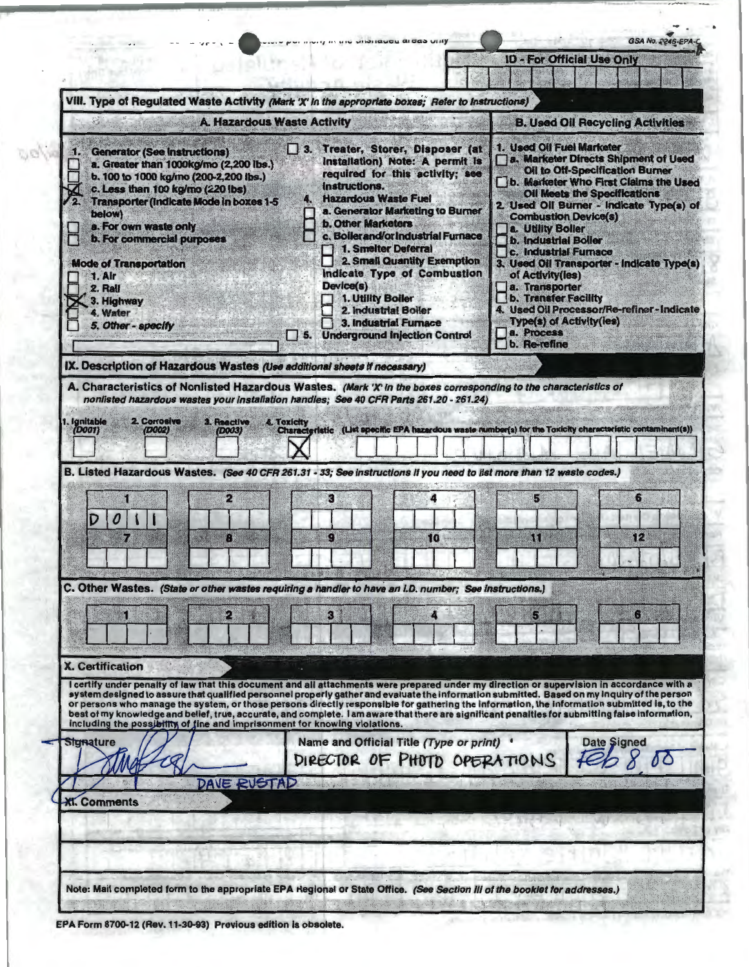|                                                                                                                                                                                                                                                                                                                                                                                                                                                                                                                                                                                                                                                                             | mong in the distribution areas vitry                                                                                                                                                                                                                                                                                                                                                                                                                                                                                 | GSA No. 2246-EPA                                                                                                                                                                                                                                                                                                                                                                                                                                                                                                                                                                     |
|-----------------------------------------------------------------------------------------------------------------------------------------------------------------------------------------------------------------------------------------------------------------------------------------------------------------------------------------------------------------------------------------------------------------------------------------------------------------------------------------------------------------------------------------------------------------------------------------------------------------------------------------------------------------------------|----------------------------------------------------------------------------------------------------------------------------------------------------------------------------------------------------------------------------------------------------------------------------------------------------------------------------------------------------------------------------------------------------------------------------------------------------------------------------------------------------------------------|--------------------------------------------------------------------------------------------------------------------------------------------------------------------------------------------------------------------------------------------------------------------------------------------------------------------------------------------------------------------------------------------------------------------------------------------------------------------------------------------------------------------------------------------------------------------------------------|
|                                                                                                                                                                                                                                                                                                                                                                                                                                                                                                                                                                                                                                                                             |                                                                                                                                                                                                                                                                                                                                                                                                                                                                                                                      | <b>ID - For Official Use Only</b>                                                                                                                                                                                                                                                                                                                                                                                                                                                                                                                                                    |
| VIII. Type of Regulated Waste Activity (Mark 'X' in the appropriate boxes; Refer to Instructions)                                                                                                                                                                                                                                                                                                                                                                                                                                                                                                                                                                           |                                                                                                                                                                                                                                                                                                                                                                                                                                                                                                                      |                                                                                                                                                                                                                                                                                                                                                                                                                                                                                                                                                                                      |
| <b>A. Hazardous Waste Activity</b>                                                                                                                                                                                                                                                                                                                                                                                                                                                                                                                                                                                                                                          |                                                                                                                                                                                                                                                                                                                                                                                                                                                                                                                      | <b>B. Used Oil Recycling Activities</b>                                                                                                                                                                                                                                                                                                                                                                                                                                                                                                                                              |
| <b>Generator (See Instructions)</b><br>51.<br>a. Greater than 1000kg/mo (2,200 lbs.)<br>b. 100 to 1000 kg/mo (200-2,200 lbs.)<br>c. Less than 100 kg/mo (220 lbs)<br><b>Transporter (Indicate Mode in boxes 1-5</b><br>below)<br>a. For own waste only<br><b>b. For commercial purposes</b><br><b>Mode of Transportation</b><br>1. Air<br>2. Rail<br>3. Highway<br>4. Water<br>5. Other - specify                                                                                                                                                                                                                                                                           | 3. Treater, Storer, Disposer (at<br><b>Installation) Note: A permit is</b><br>required for this activity; see<br>instructions.<br><b>Hazardous Waste Fuel</b><br>a. Generator Marketing to Burner<br><b>b. Other Marketers</b><br>c. Boiler and/or industrial Furnace<br>1. Smelter Deferral<br>2. Small Quantity Exemption<br>Indicate Type of Combustion<br>Device(s)<br>1. Utility Boiler<br>2. Industrial Boller<br>3. Industrial Furnace<br><b>Underground Injection Control</b><br>$\overline{\phantom{a}}$ 5. | 1. Used Oil Fuel Marketer<br>a. Marketer Directs Shipment of Used<br><b>Oil to Off-Specification Burner</b><br>b. Marketer Who First Claims the Used<br><b>Oil Meets the Specifications</b><br>2. Used Oil Burner - Indicate Type(s) of<br><b>Combustion Device(s)</b><br>a. Utility Boller<br><b>b. Industrial Boller</b><br><b>C. Industrial Furnace</b><br>3. Used Oil Transporter - Indicate Type(s)<br>of Activity(ies)<br>a. Transporter<br>b. Transfer Facility<br>4. Used Oil Processor/Re-refiner-Indicate<br><b>Type(s) of Activity(ies)</b><br>a. Process<br>b. Re-refine |
| IX. Description of Hazardous Wastes (Use additional sheets if necessary)                                                                                                                                                                                                                                                                                                                                                                                                                                                                                                                                                                                                    |                                                                                                                                                                                                                                                                                                                                                                                                                                                                                                                      |                                                                                                                                                                                                                                                                                                                                                                                                                                                                                                                                                                                      |
| A. Characteristics of Nonlisted Hazardous Wastes. (Mark 'X' in the boxes corresponding to the characteristics of                                                                                                                                                                                                                                                                                                                                                                                                                                                                                                                                                            |                                                                                                                                                                                                                                                                                                                                                                                                                                                                                                                      |                                                                                                                                                                                                                                                                                                                                                                                                                                                                                                                                                                                      |
| B. Listed Hazardous Wastes. (See 40 CFR 261.31 - 33; See instructions if you need to list more than 12 waste codes.)<br>2<br>0<br>74<br>C. Other Wastes. (State or other wastes requiring a handler to have an I.D. number; See instructions.)                                                                                                                                                                                                                                                                                                                                                                                                                              | R<br>О<br>10<br>3                                                                                                                                                                                                                                                                                                                                                                                                                                                                                                    | 5<br>6<br>12<br>រព<br>5                                                                                                                                                                                                                                                                                                                                                                                                                                                                                                                                                              |
|                                                                                                                                                                                                                                                                                                                                                                                                                                                                                                                                                                                                                                                                             |                                                                                                                                                                                                                                                                                                                                                                                                                                                                                                                      |                                                                                                                                                                                                                                                                                                                                                                                                                                                                                                                                                                                      |
| <b>X. Certification</b>                                                                                                                                                                                                                                                                                                                                                                                                                                                                                                                                                                                                                                                     |                                                                                                                                                                                                                                                                                                                                                                                                                                                                                                                      |                                                                                                                                                                                                                                                                                                                                                                                                                                                                                                                                                                                      |
| I certify under penalty of law that this document and all attachments were prepared under my direction or supervision in accordance with a<br>system designed to assure that qualified personnel properly gather and evaluate the information submitted. Based on my inquiry of the person<br>or persons who manage the system, or those persons directly responsible for gathering the information, the information submitted is, to the<br>best of my knowledge and belief, true, accurate, and complete. I am aware that there are significant penalties for submitting false information,<br>including the possibility of fine and imprisonment for knowing violations. |                                                                                                                                                                                                                                                                                                                                                                                                                                                                                                                      |                                                                                                                                                                                                                                                                                                                                                                                                                                                                                                                                                                                      |
| <b>Signature</b>                                                                                                                                                                                                                                                                                                                                                                                                                                                                                                                                                                                                                                                            | Name and Official Title (Type or print) '<br>DIRECTOR OF PHOTO OPERATIONS                                                                                                                                                                                                                                                                                                                                                                                                                                            | <b>Date Signed</b>                                                                                                                                                                                                                                                                                                                                                                                                                                                                                                                                                                   |
| DAVE RUSTAD<br><b>Kl. Comments</b>                                                                                                                                                                                                                                                                                                                                                                                                                                                                                                                                                                                                                                          |                                                                                                                                                                                                                                                                                                                                                                                                                                                                                                                      |                                                                                                                                                                                                                                                                                                                                                                                                                                                                                                                                                                                      |
|                                                                                                                                                                                                                                                                                                                                                                                                                                                                                                                                                                                                                                                                             |                                                                                                                                                                                                                                                                                                                                                                                                                                                                                                                      |                                                                                                                                                                                                                                                                                                                                                                                                                                                                                                                                                                                      |
|                                                                                                                                                                                                                                                                                                                                                                                                                                                                                                                                                                                                                                                                             |                                                                                                                                                                                                                                                                                                                                                                                                                                                                                                                      |                                                                                                                                                                                                                                                                                                                                                                                                                                                                                                                                                                                      |
|                                                                                                                                                                                                                                                                                                                                                                                                                                                                                                                                                                                                                                                                             |                                                                                                                                                                                                                                                                                                                                                                                                                                                                                                                      |                                                                                                                                                                                                                                                                                                                                                                                                                                                                                                                                                                                      |
|                                                                                                                                                                                                                                                                                                                                                                                                                                                                                                                                                                                                                                                                             |                                                                                                                                                                                                                                                                                                                                                                                                                                                                                                                      |                                                                                                                                                                                                                                                                                                                                                                                                                                                                                                                                                                                      |

E

**Classic** 

EPA Form 8700-12 (Rev. 11-30-93) Previous edition is obsolete.

 $\omega$